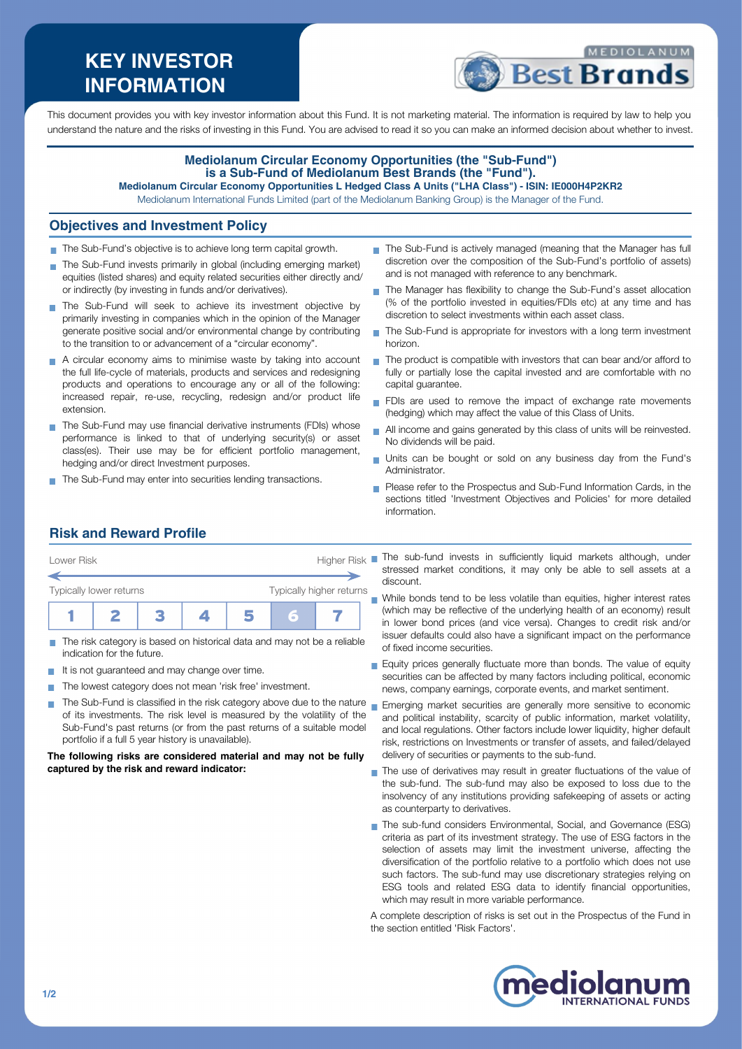# **KEY INVESTOR INFORMATION**



This document provides you with key investor information about this Fund. It is not marketing material. The information is required by law to help you understand the nature and the risks of investing in this Fund. You are advised to read it so you can make an informed decision about whether to invest.

#### **Mediolanum Circular Economy Opportunities (the "Sub-Fund") is a Sub-Fund of Mediolanum Best Brands (the "Fund"). Mediolanum Circular Economy Opportunities L Hedged Class A Units ("LHA Class") - ISIN: IE000H4P2KR2**

Mediolanum International Funds Limited (part of the Mediolanum Banking Group) is the Manager of the Fund.

### **Objectives and Investment Policy**

- The Sub-Fund's objective is to achieve long term capital growth.
- The Sub-Fund invests primarily in global (including emerging market) equities (listed shares) and equity related securities either directly and/ or indirectly (by investing in funds and/or derivatives).
- The Sub-Fund will seek to achieve its investment objective by primarily investing in companies which in the opinion of the Manager generate positive social and/or environmental change by contributing to the transition to or advancement of a "circular economy".
- A circular economy aims to minimise waste by taking into account the full life-cycle of materials, products and services and redesigning products and operations to encourage any or all of the following: increased repair, re-use, recycling, redesign and/or product life extension.
- The Sub-Fund may use financial derivative instruments (FDIs) whose performance is linked to that of underlying security(s) or asset class(es). Their use may be for efficient portfolio management, hedging and/or direct Investment purposes.
- The Sub-Fund may enter into securities lending transactions.
- The Sub-Fund is actively managed (meaning that the Manager has full discretion over the composition of the Sub-Fund's portfolio of assets) and is not managed with reference to any benchmark.
- The Manager has flexibility to change the Sub-Fund's asset allocation (% of the portfolio invested in equities/FDIs etc) at any time and has discretion to select investments within each asset class.
- $\mathbf{r}$ The Sub-Fund is appropriate for investors with a long term investment horizon.
- $\blacksquare$  The product is compatible with investors that can bear and/or afford to fully or partially lose the capital invested and are comfortable with no capital guarantee.
- FDIs are used to remove the impact of exchange rate movements (hedging) which may affect the value of this Class of Units.
- All income and gains generated by this class of units will be reinvested.  $\overline{\phantom{a}}$ No dividends will be paid.
- Units can be bought or sold on any business day from the Fund's Administrator.
- **Please refer to the Prospectus and Sub-Fund Information Cards, in the** sections titled 'Investment Objectives and Policies' for more detailed information.

## **Risk and Reward Profile**

| Higher Risk<br>Lower Risk |  |  |                          |  |   |  |  |
|---------------------------|--|--|--------------------------|--|---|--|--|
| Typically lower returns   |  |  | Typically higher returns |  |   |  |  |
|                           |  |  |                          |  | а |  |  |

- The risk category is based on historical data and may not be a reliable indication for the future.
- It is not guaranteed and may change over time.  $\mathcal{L}_{\mathcal{A}}$
- The lowest category does not mean 'risk free' investment. **COL**
- The Sub-Fund is classified in the risk category above due to the nature  $_{\blacksquare}$  Emerging market securities are generally more sensitive to economic of its investments. The risk level is measured by the volatility of the Sub-Fund's past returns (or from the past returns of a suitable model portfolio if a full 5 year history is unavailable).

#### **The following risks are considered material and may not be fully captured by the risk and reward indicator:**

- The sub-fund invests in sufficiently liquid markets although, under stressed market conditions, it may only be able to sell assets at a discount.
- While bonds tend to be less volatile than equities, higher interest rates (which may be reflective of the underlying health of an economy) result in lower bond prices (and vice versa). Changes to credit risk and/or issuer defaults could also have a significant impact on the performance of fixed income securities.
- Equity prices generally fluctuate more than bonds. The value of equity securities can be affected by many factors including political, economic news, company earnings, corporate events, and market sentiment.
- and political instability, scarcity of public information, market volatility, and local regulations. Other factors include lower liquidity, higher default risk, restrictions on Investments or transfer of assets, and failed/delayed delivery of securities or payments to the sub-fund.
- The use of derivatives may result in greater fluctuations of the value of the sub-fund. The sub-fund may also be exposed to loss due to the insolvency of any institutions providing safekeeping of assets or acting as counterparty to derivatives.
- The sub-fund considers Environmental, Social, and Governance (ESG) criteria as part of its investment strategy. The use of ESG factors in the selection of assets may limit the investment universe, affecting the diversification of the portfolio relative to a portfolio which does not use such factors. The sub-fund may use discretionary strategies relying on ESG tools and related ESG data to identify financial opportunities, which may result in more variable performance.

A complete description of risks is set out in the Prospectus of the Fund in the section entitled 'Risk Factors'.